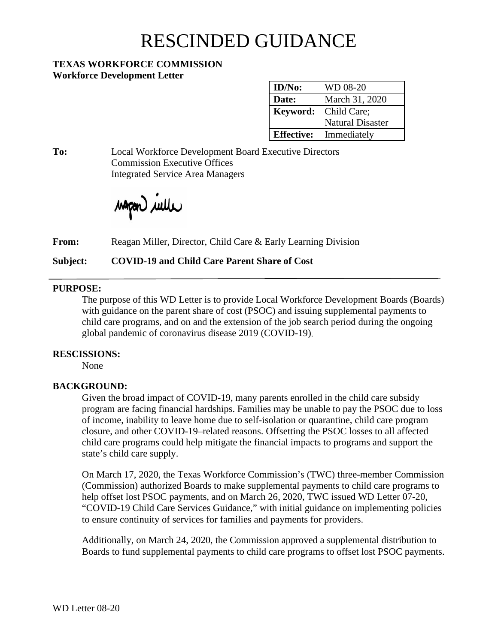# RESCINDED GUIDANCE

### **TEXAS WORKFORCE COMMISSION Workforce Development Letter**

| ID/No:            | WD 08-20                |
|-------------------|-------------------------|
| Date:             | March 31, 2020          |
| Keyword:          | Child Care;             |
|                   | <b>Natural Disaster</b> |
| <b>Effective:</b> | Immediately             |

**To:** Local Workforce Development Board Executive Directors Commission Executive Offices Integrated Service Area Managers

wapen *wille* 

**From:** Reagan Miller, Director, Child Care & Early Learning Division

**Subject: COVID-19 and Child Care Parent Share of Cost**

## **PURPOSE:**

The purpose of this WD Letter is to provide Local Workforce Development Boards (Boards) with guidance on the parent share of cost (PSOC) and issuing supplemental payments to child care programs, and on and the extension of the job search period during the ongoing global pandemic of coronavirus disease 2019 (COVID-19).

## **RESCISSIONS:**

None

## **BACKGROUND:**

Given the broad impact of COVID-19, many parents enrolled in the child care subsidy program are facing financial hardships. Families may be unable to pay the PSOC due to loss of income, inability to leave home due to self-isolation or quarantine, child care program closure, and other COVID-19–related reasons. Offsetting the PSOC losses to all affected child care programs could help mitigate the financial impacts to programs and support the state's child care supply.

On March 17, 2020, the Texas Workforce Commission's (TWC) three-member Commission (Commission) authorized Boards to make supplemental payments to child care programs to help offset lost PSOC payments, and on March 26, 2020, TWC issued WD Letter 07-20, "COVID-19 Child Care Services Guidance," with initial guidance on implementing policies to ensure continuity of services for families and payments for providers.

Additionally, on March 24, 2020, the Commission approved a supplemental distribution to Boards to fund supplemental payments to child care programs to offset lost PSOC payments.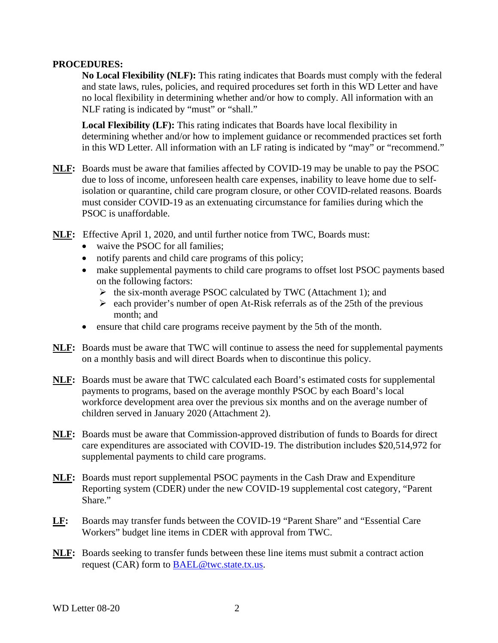#### **PROCEDURES:**

**No Local Flexibility (NLF):** This rating indicates that Boards must comply with the federal and state laws, rules, policies, and required procedures set forth in this WD Letter and have no local flexibility in determining whether and/or how to comply. All information with an NLF rating is indicated by "must" or "shall."

**Local Flexibility (LF):** This rating indicates that Boards have local flexibility in determining whether and/or how to implement guidance or recommended practices set forth in this WD Letter. All information with an LF rating is indicated by "may" or "recommend."

- **NLF:** Boards must be aware that families affected by COVID-19 may be unable to pay the PSOC due to loss of income, unforeseen health care expenses, inability to leave home due to selfisolation or quarantine, child care program closure, or other COVID-related reasons. Boards must consider COVID-19 as an extenuating circumstance for families during which the PSOC is unaffordable.
- **NLF:** Effective April 1, 2020, and until further notice from TWC, Boards must:
	- waive the PSOC for all families;
	- notify parents and child care programs of this policy;
	- make supplemental payments to child care programs to offset lost PSOC payments based on the following factors:
		- $\triangleright$  the six-month average PSOC calculated by TWC (Attachment 1); and
		- $\geq$  each provider's number of open At-Risk referrals as of the 25th of the previous month; and
	- ensure that child care programs receive payment by the 5th of the month.
- **NLF:** Boards must be aware that TWC will continue to assess the need for supplemental payments on a monthly basis and will direct Boards when to discontinue this policy.
- **NLF:** Boards must be aware that TWC calculated each Board's estimated costs for supplemental payments to programs, based on the average monthly PSOC by each Board's local workforce development area over the previous six months and on the average number of children served in January 2020 (Attachment 2).
- **NLF:** Boards must be aware that Commission-approved distribution of funds to Boards for direct care expenditures are associated with COVID-19. The distribution includes \$20,514,972 for supplemental payments to child care programs.
- **NLF:** Boards must report supplemental PSOC payments in the Cash Draw and Expenditure Reporting system (CDER) under the new COVID-19 supplemental cost category, "Parent Share."
- **LF:** Boards may transfer funds between the COVID-19 "Parent Share" and "Essential Care Workers" budget line items in CDER with approval from TWC.
- **NLF:** Boards seeking to transfer funds between these line items must submit a contract action request (CAR) form to [BAEL@twc.state.tx.us.](mailto:BAEL@twc.state.tx.us)